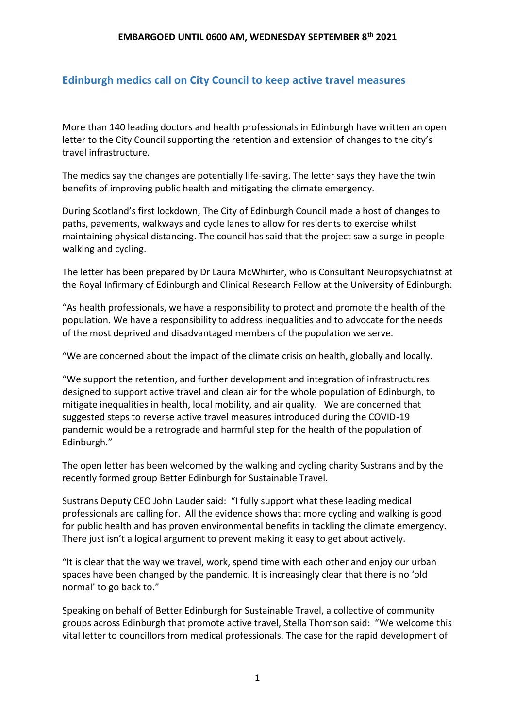# **Edinburgh medics call on City Council to keep active travel measures**

More than 140 leading doctors and health professionals in Edinburgh have written an open letter to the City Council supporting the retention and extension of changes to the city's travel infrastructure.

The medics say the changes are potentially life-saving. The letter says they have the twin benefits of improving public health and mitigating the climate emergency.

During Scotland's first lockdown, The City of Edinburgh Council made a host of changes to paths, pavements, walkways and cycle lanes to allow for residents to exercise whilst maintaining physical distancing. The council has said that the project saw a surge in people walking and cycling.

The letter has been prepared by Dr Laura McWhirter, who is Consultant Neuropsychiatrist at the Royal Infirmary of Edinburgh and Clinical Research Fellow at the University of Edinburgh:

"As health professionals, we have a responsibility to protect and promote the health of the population. We have a responsibility to address inequalities and to advocate for the needs of the most deprived and disadvantaged members of the population we serve.

"We are concerned about the impact of the climate crisis on health, globally and locally.

"We support the retention, and further development and integration of infrastructures designed to support active travel and clean air for the whole population of Edinburgh, to mitigate inequalities in health, local mobility, and air quality. We are concerned that suggested steps to reverse active travel measures introduced during the COVID-19 pandemic would be a retrograde and harmful step for the health of the population of Edinburgh."

The open letter has been welcomed by the walking and cycling charity Sustrans and by the recently formed group Better Edinburgh for Sustainable Travel.

Sustrans Deputy CEO John Lauder said: "I fully support what these leading medical professionals are calling for. All the evidence shows that more cycling and walking is good for public health and has proven environmental benefits in tackling the climate emergency. There just isn't a logical argument to prevent making it easy to get about actively.

"It is clear that the way we travel, work, spend time with each other and enjoy our urban spaces have been changed by the pandemic. It is increasingly clear that there is no 'old normal' to go back to."

Speaking on behalf of Better Edinburgh for Sustainable Travel, a collective of community groups across Edinburgh that promote active travel, Stella Thomson said: "We welcome this vital letter to councillors from medical professionals. The case for the rapid development of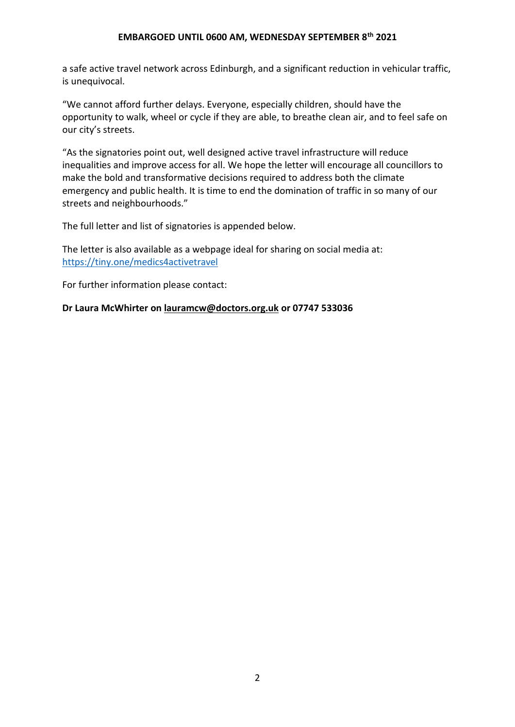a safe active travel network across Edinburgh, and a significant reduction in vehicular traffic, is unequivocal.

"We cannot afford further delays. Everyone, especially children, should have the opportunity to walk, wheel or cycle if they are able, to breathe clean air, and to feel safe on our city's streets.

"As the signatories point out, well designed active travel infrastructure will reduce inequalities and improve access for all. We hope the letter will encourage all councillors to make the bold and transformative decisions required to address both the climate emergency and public health. It is time to end the domination of traffic in so many of our streets and neighbourhoods."

The full letter and list of signatories is appended below.

The letter is also available as a webpage ideal for sharing on social media at: <https://tiny.one/medics4activetravel>

For further information please contact:

**Dr Laura McWhirter on [lauramcw@doctors.org.uk](mailto:lauramcw@doctors.org.uk) or 07747 533036**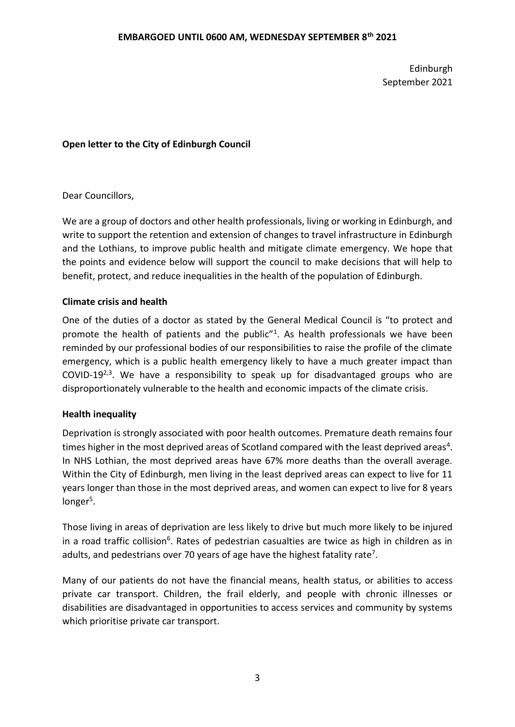Edinburgh September 2021

## **Open letter to the City of Edinburgh Council**

## Dear Councillors,

We are a group of doctors and other health professionals, living or working in Edinburgh, and write to support the retention and extension of changes to travel infrastructure in Edinburgh and the Lothians, to improve public health and mitigate climate emergency. We hope that the points and evidence below will support the council to make decisions that will help to benefit, protect, and reduce inequalities in the health of the population of Edinburgh.

## **Climate crisis and health**

One of the duties of a doctor as stated by the General Medical Council is "to protect and promote the health of patients and the public"<sup>1</sup>. As health professionals we have been reminded by our professional bodies of our responsibilities to raise the profile of the climate emergency, which is a public health emergency likely to have a much greater impact than COVID-19 $^{2,3}$ . We have a responsibility to speak up for disadvantaged groups who are disproportionately vulnerable to the health and economic impacts of the climate crisis.

### **Health inequality**

Deprivation is strongly associated with poor health outcomes. Premature death remains four times higher in the most deprived areas of Scotland compared with the least deprived areas<sup>4</sup>. In NHS Lothian, the most deprived areas have 67% more deaths than the overall average. Within the City of Edinburgh, men living in the least deprived areas can expect to live for 11 years longer than those in the most deprived areas, and women can expect to live for 8 years longer<sup>5</sup>.

Those living in areas of deprivation are less likely to drive but much more likely to be injured in a road traffic collision<sup>6</sup>. Rates of pedestrian casualties are twice as high in children as in adults, and pedestrians over 70 years of age have the highest fatality rate<sup>7</sup>.

Many of our patients do not have the financial means, health status, or abilities to access private car transport. Children, the frail elderly, and people with chronic illnesses or disabilities are disadvantaged in opportunities to access services and community by systems which prioritise private car transport.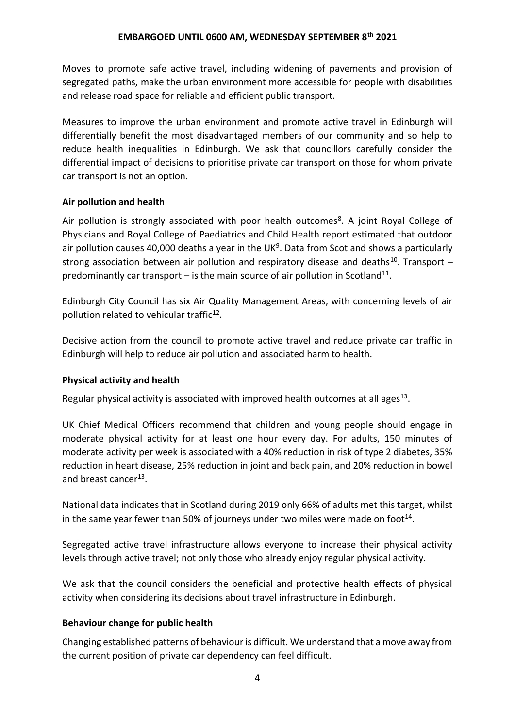Moves to promote safe active travel, including widening of pavements and provision of segregated paths, make the urban environment more accessible for people with disabilities and release road space for reliable and efficient public transport.

Measures to improve the urban environment and promote active travel in Edinburgh will differentially benefit the most disadvantaged members of our community and so help to reduce health inequalities in Edinburgh. We ask that councillors carefully consider the differential impact of decisions to prioritise private car transport on those for whom private car transport is not an option.

## **Air pollution and health**

Air pollution is strongly associated with poor health outcomes<sup>8</sup>. A joint Royal College of Physicians and Royal College of Paediatrics and Child Health report estimated that outdoor air pollution causes 40,000 deaths a year in the UK<sup>9</sup>. Data from Scotland shows a particularly strong association between air pollution and respiratory disease and deaths<sup>10</sup>. Transport  $$ predominantly car transport  $-$  is the main source of air pollution in Scotland<sup>11</sup>.

Edinburgh City Council has six Air Quality Management Areas, with concerning levels of air pollution related to vehicular traffic<sup>12</sup>.

Decisive action from the council to promote active travel and reduce private car traffic in Edinburgh will help to reduce air pollution and associated harm to health.

## **Physical activity and health**

Regular physical activity is associated with improved health outcomes at all ages $^{13}$ .

UK Chief Medical Officers recommend that children and young people should engage in moderate physical activity for at least one hour every day. For adults, 150 minutes of moderate activity per week is associated with a 40% reduction in risk of type 2 diabetes, 35% reduction in heart disease, 25% reduction in joint and back pain, and 20% reduction in bowel and breast cancer<sup>13</sup>.

National data indicates that in Scotland during 2019 only 66% of adults met this target, whilst in the same year fewer than 50% of journeys under two miles were made on foot<sup>14</sup>.

Segregated active travel infrastructure allows everyone to increase their physical activity levels through active travel; not only those who already enjoy regular physical activity.

We ask that the council considers the beneficial and protective health effects of physical activity when considering its decisions about travel infrastructure in Edinburgh.

## **Behaviour change for public health**

Changing established patterns of behaviour is difficult. We understand that a move away from the current position of private car dependency can feel difficult.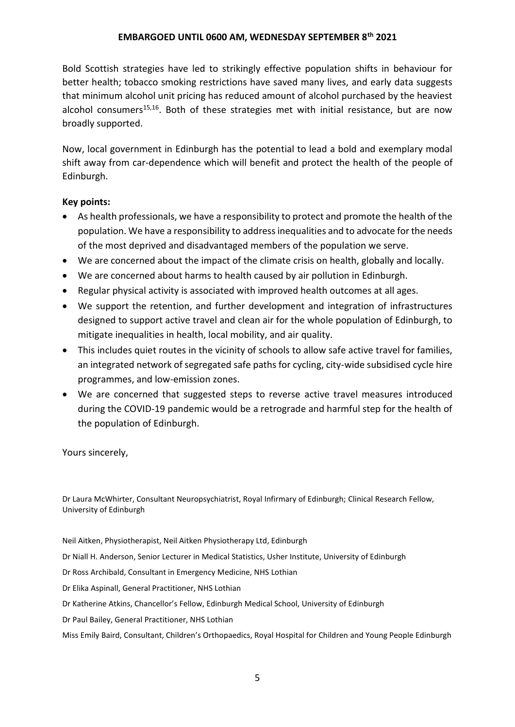Bold Scottish strategies have led to strikingly effective population shifts in behaviour for better health; tobacco smoking restrictions have saved many lives, and early data suggests that minimum alcohol unit pricing has reduced amount of alcohol purchased by the heaviest alcohol consumers<sup>15,16</sup>. Both of these strategies met with initial resistance, but are now broadly supported.

Now, local government in Edinburgh has the potential to lead a bold and exemplary modal shift away from car-dependence which will benefit and protect the health of the people of Edinburgh.

## **Key points:**

- As health professionals, we have a responsibility to protect and promote the health of the population. We have a responsibility to address inequalities and to advocate for the needs of the most deprived and disadvantaged members of the population we serve.
- We are concerned about the impact of the climate crisis on health, globally and locally.
- We are concerned about harms to health caused by air pollution in Edinburgh.
- Regular physical activity is associated with improved health outcomes at all ages.
- We support the retention, and further development and integration of infrastructures designed to support active travel and clean air for the whole population of Edinburgh, to mitigate inequalities in health, local mobility, and air quality.
- This includes quiet routes in the vicinity of schools to allow safe active travel for families, an integrated network of segregated safe paths for cycling, city-wide subsidised cycle hire programmes, and low-emission zones.
- We are concerned that suggested steps to reverse active travel measures introduced during the COVID-19 pandemic would be a retrograde and harmful step for the health of the population of Edinburgh.

Yours sincerely,

Dr Laura McWhirter, Consultant Neuropsychiatrist, Royal Infirmary of Edinburgh; Clinical Research Fellow, University of Edinburgh

Neil Aitken, Physiotherapist, Neil Aitken Physiotherapy Ltd, Edinburgh

Dr Niall H. Anderson, Senior Lecturer in Medical Statistics, Usher Institute, University of Edinburgh

Dr Ross Archibald, Consultant in Emergency Medicine, NHS Lothian

Dr Elika Aspinall, General Practitioner, NHS Lothian

Dr Katherine Atkins, Chancellor's Fellow, Edinburgh Medical School, University of Edinburgh

Dr Paul Bailey, General Practitioner, NHS Lothian

Miss Emily Baird, Consultant, Children's Orthopaedics, Royal Hospital for Children and Young People Edinburgh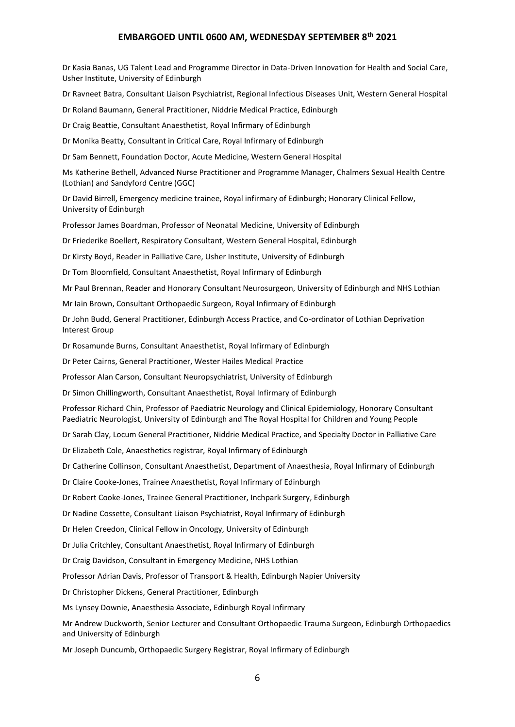Dr Kasia Banas, UG Talent Lead and Programme Director in Data-Driven Innovation for Health and Social Care, Usher Institute, University of Edinburgh

Dr Ravneet Batra, Consultant Liaison Psychiatrist, Regional Infectious Diseases Unit, Western General Hospital

Dr Roland Baumann, General Practitioner, Niddrie Medical Practice, Edinburgh

Dr Craig Beattie, Consultant Anaesthetist, Royal Infirmary of Edinburgh

Dr Monika Beatty, Consultant in Critical Care, Royal Infirmary of Edinburgh

Dr Sam Bennett, Foundation Doctor, Acute Medicine, Western General Hospital

Ms Katherine Bethell, Advanced Nurse Practitioner and Programme Manager, Chalmers Sexual Health Centre (Lothian) and Sandyford Centre (GGC)

Dr David Birrell, Emergency medicine trainee, Royal infirmary of Edinburgh; Honorary Clinical Fellow, University of Edinburgh

Professor James Boardman, Professor of Neonatal Medicine, University of Edinburgh

Dr Friederike Boellert, Respiratory Consultant, Western General Hospital, Edinburgh

Dr Kirsty Boyd, Reader in Palliative Care, Usher Institute, University of Edinburgh

Dr Tom Bloomfield, Consultant Anaesthetist, Royal Infirmary of Edinburgh

Mr Paul Brennan, Reader and Honorary Consultant Neurosurgeon, University of Edinburgh and NHS Lothian

Mr Iain Brown, Consultant Orthopaedic Surgeon, Royal Infirmary of Edinburgh

Dr John Budd, General Practitioner, Edinburgh Access Practice, and Co-ordinator of Lothian Deprivation Interest Group

Dr Rosamunde Burns, Consultant Anaesthetist, Royal Infirmary of Edinburgh

Dr Peter Cairns, General Practitioner, Wester Hailes Medical Practice

Professor Alan Carson, Consultant Neuropsychiatrist, University of Edinburgh

Dr Simon Chillingworth, Consultant Anaesthetist, Royal Infirmary of Edinburgh

Professor Richard Chin, Professor of Paediatric Neurology and Clinical Epidemiology, Honorary Consultant Paediatric Neurologist, University of Edinburgh and The Royal Hospital for Children and Young People

Dr Sarah Clay, Locum General Practitioner, Niddrie Medical Practice, and Specialty Doctor in Palliative Care

Dr Elizabeth Cole, Anaesthetics registrar, Royal Infirmary of Edinburgh

Dr Catherine Collinson, Consultant Anaesthetist, Department of Anaesthesia, Royal Infirmary of Edinburgh

Dr Claire Cooke-Jones, Trainee Anaesthetist, Royal Infirmary of Edinburgh

Dr Robert Cooke-Jones, Trainee General Practitioner, Inchpark Surgery, Edinburgh

Dr Nadine Cossette, Consultant Liaison Psychiatrist, Royal Infirmary of Edinburgh

Dr Helen Creedon, Clinical Fellow in Oncology, University of Edinburgh

Dr Julia Critchley, Consultant Anaesthetist, Royal Infirmary of Edinburgh

Dr Craig Davidson, Consultant in Emergency Medicine, NHS Lothian

Professor Adrian Davis, Professor of Transport & Health, Edinburgh Napier University

Dr Christopher Dickens, General Practitioner, Edinburgh

Ms Lynsey Downie, Anaesthesia Associate, Edinburgh Royal Infirmary

Mr Andrew Duckworth, Senior Lecturer and Consultant Orthopaedic Trauma Surgeon, Edinburgh Orthopaedics and University of Edinburgh

Mr Joseph Duncumb, Orthopaedic Surgery Registrar, Royal Infirmary of Edinburgh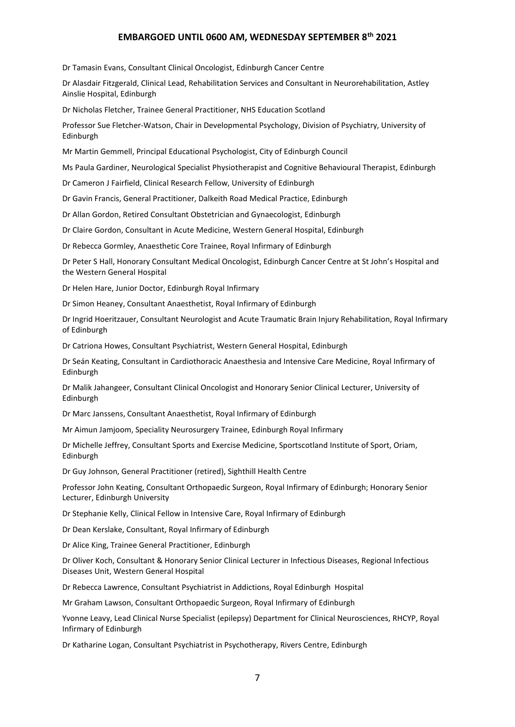Dr Tamasin Evans, Consultant Clinical Oncologist, Edinburgh Cancer Centre

Dr Alasdair Fitzgerald, Clinical Lead, Rehabilitation Services and Consultant in Neurorehabilitation, Astley Ainslie Hospital, Edinburgh

Dr Nicholas Fletcher, Trainee General Practitioner, NHS Education Scotland

Professor Sue Fletcher-Watson, Chair in Developmental Psychology, Division of Psychiatry, University of Edinburgh

Mr Martin Gemmell, Principal Educational Psychologist, City of Edinburgh Council

Ms Paula Gardiner, Neurological Specialist Physiotherapist and Cognitive Behavioural Therapist, Edinburgh

Dr Cameron J Fairfield, Clinical Research Fellow, University of Edinburgh

Dr Gavin Francis, General Practitioner, Dalkeith Road Medical Practice, Edinburgh

Dr Allan Gordon, Retired Consultant Obstetrician and Gynaecologist, Edinburgh

Dr Claire Gordon, Consultant in Acute Medicine, Western General Hospital, Edinburgh

Dr Rebecca Gormley, Anaesthetic Core Trainee, Royal Infirmary of Edinburgh

Dr Peter S Hall, Honorary Consultant Medical Oncologist, Edinburgh Cancer Centre at St John's Hospital and the Western General Hospital

Dr Helen Hare, Junior Doctor, Edinburgh Royal Infirmary

Dr Simon Heaney, Consultant Anaesthetist, Royal Infirmary of Edinburgh

Dr Ingrid Hoeritzauer, Consultant Neurologist and Acute Traumatic Brain Injury Rehabilitation, Royal Infirmary of Edinburgh

Dr Catriona Howes, Consultant Psychiatrist, Western General Hospital, Edinburgh

Dr Seán Keating, Consultant in Cardiothoracic Anaesthesia and Intensive Care Medicine, Royal Infirmary of Edinburgh

Dr Malik Jahangeer, Consultant Clinical Oncologist and Honorary Senior Clinical Lecturer, University of Edinburgh

Dr Marc Janssens, Consultant Anaesthetist, Royal Infirmary of Edinburgh

Mr Aimun Jamjoom, Speciality Neurosurgery Trainee, Edinburgh Royal Infirmary

Dr Michelle Jeffrey, Consultant Sports and Exercise Medicine, Sportscotland Institute of Sport, Oriam, Edinburgh

Dr Guy Johnson, General Practitioner (retired), Sighthill Health Centre

Professor John Keating, Consultant Orthopaedic Surgeon, Royal Infirmary of Edinburgh; Honorary Senior Lecturer, Edinburgh University

Dr Stephanie Kelly, Clinical Fellow in Intensive Care, Royal Infirmary of Edinburgh

Dr Dean Kerslake, Consultant, Royal Infirmary of Edinburgh

Dr Alice King, Trainee General Practitioner, Edinburgh

Dr Oliver Koch, Consultant & Honorary Senior Clinical Lecturer in Infectious Diseases, Regional Infectious Diseases Unit, Western General Hospital

Dr Rebecca Lawrence, Consultant Psychiatrist in Addictions, Royal Edinburgh Hospital

Mr Graham Lawson, Consultant Orthopaedic Surgeon, Royal Infirmary of Edinburgh

Yvonne Leavy, Lead Clinical Nurse Specialist (epilepsy) Department for Clinical Neurosciences, RHCYP, Royal Infirmary of Edinburgh

Dr Katharine Logan, Consultant Psychiatrist in Psychotherapy, Rivers Centre, Edinburgh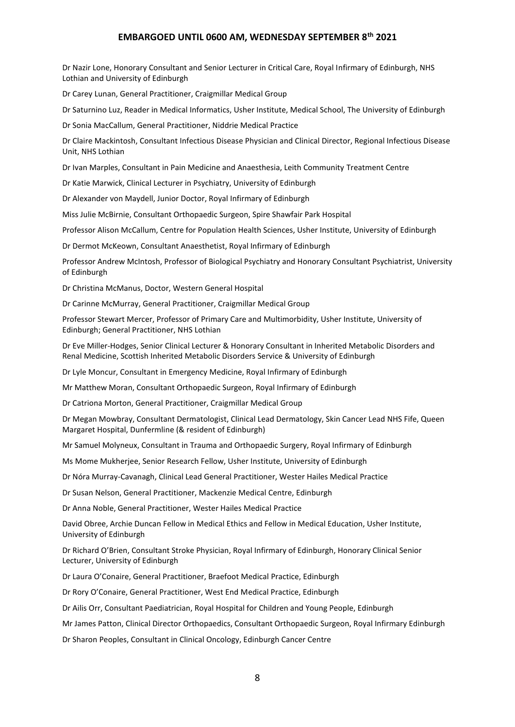Dr Nazir Lone, Honorary Consultant and Senior Lecturer in Critical Care, Royal Infirmary of Edinburgh, NHS Lothian and University of Edinburgh

Dr Carey Lunan, General Practitioner, Craigmillar Medical Group

Dr Saturnino Luz, Reader in Medical Informatics, Usher Institute, Medical School, The University of Edinburgh

Dr Sonia MacCallum, General Practitioner, Niddrie Medical Practice

Dr Claire Mackintosh, Consultant Infectious Disease Physician and Clinical Director, Regional Infectious Disease Unit, NHS Lothian

Dr Ivan Marples, Consultant in Pain Medicine and Anaesthesia, Leith Community Treatment Centre

Dr Katie Marwick, Clinical Lecturer in Psychiatry, University of Edinburgh

Dr Alexander von Maydell, Junior Doctor, Royal Infirmary of Edinburgh

Miss Julie McBirnie, Consultant Orthopaedic Surgeon, Spire Shawfair Park Hospital

Professor Alison McCallum, Centre for Population Health Sciences, Usher Institute, University of Edinburgh

Dr Dermot McKeown, Consultant Anaesthetist, Royal Infirmary of Edinburgh

Professor Andrew McIntosh, Professor of Biological Psychiatry and Honorary Consultant Psychiatrist, University of Edinburgh

Dr Christina McManus, Doctor, Western General Hospital

Dr Carinne McMurray, General Practitioner, Craigmillar Medical Group

Professor Stewart Mercer, Professor of Primary Care and Multimorbidity, Usher Institute, University of Edinburgh; General Practitioner, NHS Lothian

Dr Eve Miller-Hodges, Senior Clinical Lecturer & Honorary Consultant in Inherited Metabolic Disorders and Renal Medicine, Scottish Inherited Metabolic Disorders Service & University of Edinburgh

Dr Lyle Moncur, Consultant in Emergency Medicine, Royal Infirmary of Edinburgh

Mr Matthew Moran, Consultant Orthopaedic Surgeon, Royal Infirmary of Edinburgh

Dr Catriona Morton, General Practitioner, Craigmillar Medical Group

Dr Megan Mowbray, Consultant Dermatologist, Clinical Lead Dermatology, Skin Cancer Lead NHS Fife, Queen Margaret Hospital, Dunfermline (& resident of Edinburgh)

Mr Samuel Molyneux, Consultant in Trauma and Orthopaedic Surgery, Royal Infirmary of Edinburgh

Ms Mome Mukherjee, Senior Research Fellow, Usher Institute, University of Edinburgh

Dr Nóra Murray-Cavanagh, Clinical Lead General Practitioner, Wester Hailes Medical Practice

Dr Susan Nelson, General Practitioner, Mackenzie Medical Centre, Edinburgh

Dr Anna Noble, General Practitioner, Wester Hailes Medical Practice

David Obree, Archie Duncan Fellow in Medical Ethics and Fellow in Medical Education, Usher Institute, University of Edinburgh

Dr Richard O'Brien, Consultant Stroke Physician, Royal Infirmary of Edinburgh, Honorary Clinical Senior Lecturer, University of Edinburgh

Dr Laura O'Conaire, General Practitioner, Braefoot Medical Practice, Edinburgh

Dr Rory O'Conaire, General Practitioner, West End Medical Practice, Edinburgh

Dr Ailis Orr, Consultant Paediatrician, Royal Hospital for Children and Young People, Edinburgh

Mr James Patton, Clinical Director Orthopaedics, Consultant Orthopaedic Surgeon, Royal Infirmary Edinburgh

Dr Sharon Peoples, Consultant in Clinical Oncology, Edinburgh Cancer Centre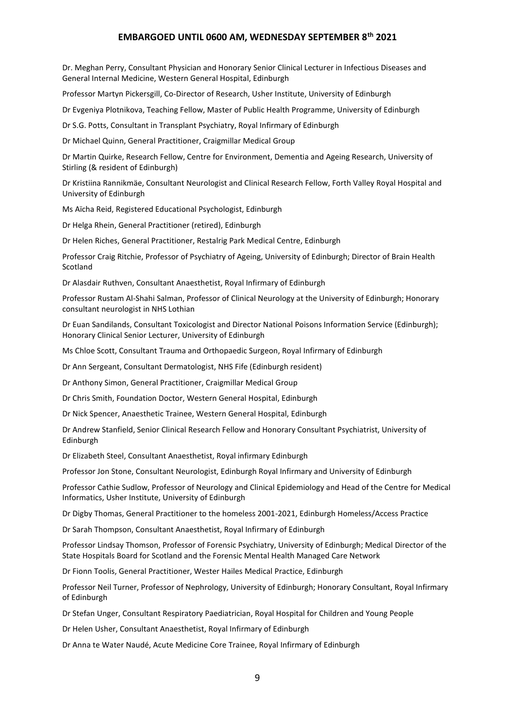Dr. Meghan Perry, Consultant Physician and Honorary Senior Clinical Lecturer in Infectious Diseases and General Internal Medicine, Western General Hospital, Edinburgh

Professor Martyn Pickersgill, Co-Director of Research, Usher Institute, University of Edinburgh

Dr Evgeniya Plotnikova, Teaching Fellow, Master of Public Health Programme, University of Edinburgh

Dr S.G. Potts, Consultant in Transplant Psychiatry, Royal Infirmary of Edinburgh

Dr Michael Quinn, General Practitioner, Craigmillar Medical Group

Dr Martin Quirke, Research Fellow, Centre for Environment, Dementia and Ageing Research, University of Stirling (& resident of Edinburgh)

Dr Kristiina Rannikmäe, Consultant Neurologist and Clinical Research Fellow, Forth Valley Royal Hospital and University of Edinburgh

Ms Aїcha Reid, Registered Educational Psychologist, Edinburgh

Dr Helga Rhein, General Practitioner (retired), Edinburgh

Dr Helen Riches, General Practitioner, Restalrig Park Medical Centre, Edinburgh

Professor Craig Ritchie, Professor of Psychiatry of Ageing, University of Edinburgh; Director of Brain Health Scotland

Dr Alasdair Ruthven, Consultant Anaesthetist, Royal Infirmary of Edinburgh

Professor Rustam Al-Shahi Salman, Professor of Clinical Neurology at the University of Edinburgh; Honorary consultant neurologist in NHS Lothian

Dr Euan Sandilands, Consultant Toxicologist and Director National Poisons Information Service (Edinburgh); Honorary Clinical Senior Lecturer, University of Edinburgh

Ms Chloe Scott, Consultant Trauma and Orthopaedic Surgeon, Royal Infirmary of Edinburgh

Dr Ann Sergeant, Consultant Dermatologist, NHS Fife (Edinburgh resident)

Dr Anthony Simon, General Practitioner, Craigmillar Medical Group

Dr Chris Smith, Foundation Doctor, Western General Hospital, Edinburgh

Dr Nick Spencer, Anaesthetic Trainee, Western General Hospital, Edinburgh

Dr Andrew Stanfield, Senior Clinical Research Fellow and Honorary Consultant Psychiatrist, University of Edinburgh

Dr Elizabeth Steel, Consultant Anaesthetist, Royal infirmary Edinburgh

Professor Jon Stone, Consultant Neurologist, Edinburgh Royal Infirmary and University of Edinburgh

Professor Cathie Sudlow, Professor of Neurology and Clinical Epidemiology and Head of the Centre for Medical Informatics, Usher Institute, University of Edinburgh

Dr Digby Thomas, General Practitioner to the homeless 2001-2021, Edinburgh Homeless/Access Practice

Dr Sarah Thompson, Consultant Anaesthetist, Royal Infirmary of Edinburgh

Professor Lindsay Thomson, Professor of Forensic Psychiatry, University of Edinburgh; Medical Director of the State Hospitals Board for Scotland and the Forensic Mental Health Managed Care Network

Dr Fionn Toolis, General Practitioner, Wester Hailes Medical Practice, Edinburgh

Professor Neil Turner, Professor of Nephrology, University of Edinburgh; Honorary Consultant, Royal Infirmary of Edinburgh

Dr Stefan Unger, Consultant Respiratory Paediatrician, Royal Hospital for Children and Young People

Dr Helen Usher, Consultant Anaesthetist, Royal Infirmary of Edinburgh

Dr Anna te Water Naudé, Acute Medicine Core Trainee, Royal Infirmary of Edinburgh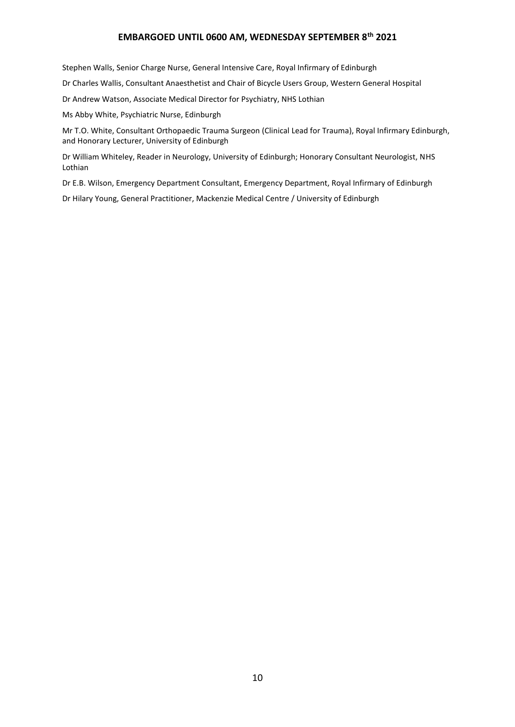Stephen Walls, Senior Charge Nurse, General Intensive Care, Royal Infirmary of Edinburgh

Dr Charles Wallis, Consultant Anaesthetist and Chair of Bicycle Users Group, Western General Hospital

Dr Andrew Watson, Associate Medical Director for Psychiatry, NHS Lothian

Ms Abby White, Psychiatric Nurse, Edinburgh

Mr T.O. White, Consultant Orthopaedic Trauma Surgeon (Clinical Lead for Trauma), Royal Infirmary Edinburgh, and Honorary Lecturer, University of Edinburgh

Dr William Whiteley, Reader in Neurology, University of Edinburgh; Honorary Consultant Neurologist, NHS Lothian

Dr E.B. Wilson, Emergency Department Consultant, Emergency Department, Royal Infirmary of Edinburgh

Dr Hilary Young, General Practitioner, Mackenzie Medical Centre / University of Edinburgh